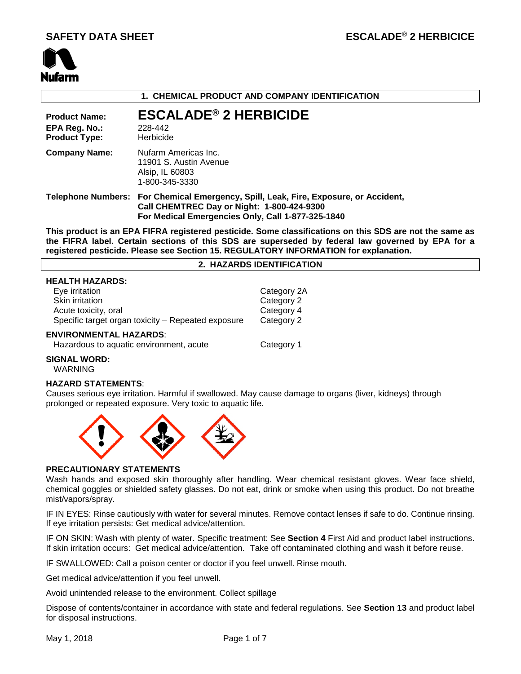

## **1. CHEMICAL PRODUCT AND COMPANY IDENTIFICATION**

**Product Name: ESCALADE® 2 HERBICIDE EPA Reg. No.:** 228-442<br>**Product Type:** Herbicide **Product Type: Company Name:** Nufarm Americas Inc. 11901 S. Austin Avenue Alsip, IL 60803 1-800-345-3330 **Telephone Numbers: For Chemical Emergency, Spill, Leak, Fire, Exposure, or Accident, Call CHEMTREC Day or Night: 1-800-424-9300 For Medical Emergencies Only, Call 1-877-325-1840**

**This product is an EPA FIFRA registered pesticide. Some classifications on this SDS are not the same as the FIFRA label. Certain sections of this SDS are superseded by federal law governed by EPA for a registered pesticide. Please see Section 15. REGULATORY INFORMATION for explanation.**

## **2. HAZARDS IDENTIFICATION**

## **HEALTH HAZARDS:**

| Eye irritation<br>Skin irritation<br>Acute toxicity, oral | Category 2A<br>Category 2<br>Category 4 |  |  |  |  |
|-----------------------------------------------------------|-----------------------------------------|--|--|--|--|
| Specific target organ toxicity - Repeated exposure        | Category 2                              |  |  |  |  |
| <b>ENVIRONMENTAL HAZARDS:</b>                             |                                         |  |  |  |  |
| Hazardous to aquatic environment, acute                   | Category 1                              |  |  |  |  |

# **SIGNAL WORD:**

WARNING

## **HAZARD STATEMENTS**:

Causes serious eye irritation. Harmful if swallowed. May cause damage to organs (liver, kidneys) through prolonged or repeated exposure. Very toxic to aquatic life.



#### **PRECAUTIONARY STATEMENTS**

Wash hands and exposed skin thoroughly after handling. Wear chemical resistant gloves. Wear face shield, chemical goggles or shielded safety glasses. Do not eat, drink or smoke when using this product. Do not breathe mist/vapors/spray.

IF IN EYES: Rinse cautiously with water for several minutes. Remove contact lenses if safe to do. Continue rinsing. If eye irritation persists: Get medical advice/attention.

IF ON SKIN: Wash with plenty of water. Specific treatment: See **Section 4** First Aid and product label instructions. If skin irritation occurs: Get medical advice/attention. Take off contaminated clothing and wash it before reuse.

IF SWALLOWED: Call a poison center or doctor if you feel unwell. Rinse mouth.

Get medical advice/attention if you feel unwell.

Avoid unintended release to the environment. Collect spillage

Dispose of contents/container in accordance with state and federal regulations. See **Section 13** and product label for disposal instructions.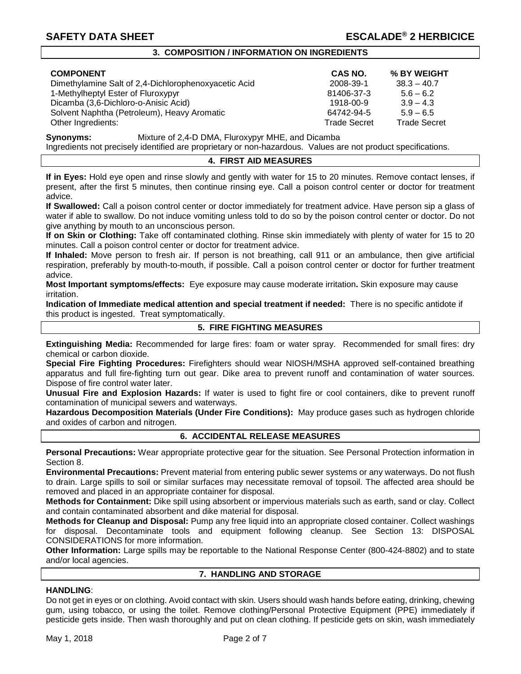## **3. COMPOSITION / INFORMATION ON INGREDIENTS**

| <b>COMPONENT</b>                                     | <b>CAS NO.</b>      | % BY WEIGHT         |
|------------------------------------------------------|---------------------|---------------------|
| Dimethylamine Salt of 2,4-Dichlorophenoxyacetic Acid | 2008-39-1           | $38.3 - 40.7$       |
| 1-Methylheptyl Ester of Fluroxypyr                   | 81406-37-3          | $5.6 - 6.2$         |
| Dicamba (3,6-Dichloro-o-Anisic Acid)                 | 1918-00-9           | $3.9 - 4.3$         |
| Solvent Naphtha (Petroleum), Heavy Aromatic          | 64742-94-5          | $5.9 - 6.5$         |
| Other Ingredients:                                   | <b>Trade Secret</b> | <b>Trade Secret</b> |

| CAS NO.        | % BY WEIGHT         |
|----------------|---------------------|
| 008-39-1       | $38.3 - 40.7$       |
| 1406-37-3      | $5.6 - 6.2$         |
| $918 - 00 - 9$ | $3.9 - 4.3$         |
| 4742-94-5      | $5.9 - 6.5$         |
| ade Secret     | <b>Trade Secret</b> |

**Synonyms:** Mixture of 2,4-D DMA, Fluroxypyr MHE, and Dicamba

Ingredients not precisely identified are proprietary or non-hazardous. Values are not product specifications.

## **4. FIRST AID MEASURES**

**If in Eyes:** Hold eye open and rinse slowly and gently with water for 15 to 20 minutes. Remove contact lenses, if present, after the first 5 minutes, then continue rinsing eye. Call a poison control center or doctor for treatment advice.

**If Swallowed:** Call a poison control center or doctor immediately for treatment advice. Have person sip a glass of water if able to swallow. Do not induce vomiting unless told to do so by the poison control center or doctor. Do not give anything by mouth to an unconscious person.

**If on Skin or Clothing:** Take off contaminated clothing. Rinse skin immediately with plenty of water for 15 to 20 minutes. Call a poison control center or doctor for treatment advice.

**If Inhaled:** Move person to fresh air. If person is not breathing, call 911 or an ambulance, then give artificial respiration, preferably by mouth-to-mouth, if possible. Call a poison control center or doctor for further treatment advice.

**Most Important symptoms/effects:** Eye exposure may cause moderate irritation**.** Skin exposure may cause irritation.

**Indication of Immediate medical attention and special treatment if needed:** There is no specific antidote if this product is ingested. Treat symptomatically.

## **5. FIRE FIGHTING MEASURES**

**Extinguishing Media:** Recommended for large fires: foam or water spray. Recommended for small fires: dry chemical or carbon dioxide.

**Special Fire Fighting Procedures:** Firefighters should wear NIOSH/MSHA approved self-contained breathing apparatus and full fire-fighting turn out gear. Dike area to prevent runoff and contamination of water sources. Dispose of fire control water later.

**Unusual Fire and Explosion Hazards:** If water is used to fight fire or cool containers, dike to prevent runoff contamination of municipal sewers and waterways.

**Hazardous Decomposition Materials (Under Fire Conditions):** May produce gases such as hydrogen chloride and oxides of carbon and nitrogen.

## **6. ACCIDENTAL RELEASE MEASURES**

**Personal Precautions:** Wear appropriate protective gear for the situation. See Personal Protection information in Section 8.

**Environmental Precautions:** Prevent material from entering public sewer systems or any waterways. Do not flush to drain. Large spills to soil or similar surfaces may necessitate removal of topsoil. The affected area should be removed and placed in an appropriate container for disposal.

**Methods for Containment:** Dike spill using absorbent or impervious materials such as earth, sand or clay. Collect and contain contaminated absorbent and dike material for disposal.

**Methods for Cleanup and Disposal:** Pump any free liquid into an appropriate closed container. Collect washings for disposal. Decontaminate tools and equipment following cleanup. See Section 13: DISPOSAL CONSIDERATIONS for more information.

**Other Information:** Large spills may be reportable to the National Response Center (800-424-8802) and to state and/or local agencies.

## **7. HANDLING AND STORAGE**

## **HANDLING**:

Do not get in eyes or on clothing. Avoid contact with skin. Users should wash hands before eating, drinking, chewing gum, using tobacco, or using the toilet. Remove clothing/Personal Protective Equipment (PPE) immediately if pesticide gets inside. Then wash thoroughly and put on clean clothing. If pesticide gets on skin, wash immediately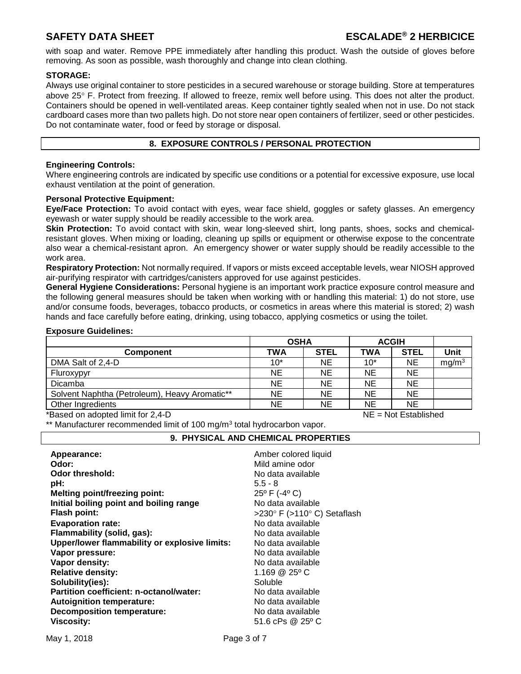with soap and water. Remove PPE immediately after handling this product. Wash the outside of gloves before removing. As soon as possible, wash thoroughly and change into clean clothing.

## **STORAGE:**

Always use original container to store pesticides in a secured warehouse or storage building. Store at temperatures above 25° F. Protect from freezing. If allowed to freeze, remix well before using. This does not alter the product. Containers should be opened in well-ventilated areas. Keep container tightly sealed when not in use. Do not stack cardboard cases more than two pallets high. Do not store near open containers of fertilizer, seed or other pesticides. Do not contaminate water, food or feed by storage or disposal.

## **8. EXPOSURE CONTROLS / PERSONAL PROTECTION**

## **Engineering Controls:**

Where engineering controls are indicated by specific use conditions or a potential for excessive exposure, use local exhaust ventilation at the point of generation.

## **Personal Protective Equipment:**

**Eye/Face Protection:** To avoid contact with eyes, wear face shield, goggles or safety glasses. An emergency eyewash or water supply should be readily accessible to the work area.

**Skin Protection:** To avoid contact with skin, wear long-sleeved shirt, long pants, shoes, socks and chemicalresistant gloves. When mixing or loading, cleaning up spills or equipment or otherwise expose to the concentrate also wear a chemical-resistant apron. An emergency shower or water supply should be readily accessible to the work area.

**Respiratory Protection:** Not normally required. If vapors or mists exceed acceptable levels, wear NIOSH approved air-purifying respirator with cartridges/canisters approved for use against pesticides.

**General Hygiene Considerations:** Personal hygiene is an important work practice exposure control measure and the following general measures should be taken when working with or handling this material: 1) do not store, use and/or consume foods, beverages, tobacco products, or cosmetics in areas where this material is stored; 2) wash hands and face carefully before eating, drinking, using tobacco, applying cosmetics or using the toilet.

## **Exposure Guidelines:**

| <b>TWA</b> | <b>STEL</b> | <b>TWA</b>  | <b>STEL</b> | Unit              |
|------------|-------------|-------------|-------------|-------------------|
| $10*$      | NE          | $10*$       | NE          | mg/m <sup>3</sup> |
| <b>NE</b>  | NE.         | <b>NE</b>   | NE          |                   |
| <b>NE</b>  | NE.         | <b>NE</b>   | <b>NE</b>   |                   |
| NE         | NE.         | <b>NE</b>   | <b>NE</b>   |                   |
| <b>NE</b>  | NE.         | <b>NE</b>   | <b>NE</b>   |                   |
|            |             | <b>OSHA</b> |             | <b>ACGIH</b>      |

Based on adopted limit for 2,4-D NE = Not Established

\*\* Manufacturer recommended limit of 100 mg/m<sup>3</sup> total hydrocarbon vapor.

## **9. PHYSICAL AND CHEMICAL PROPERTIES**

| Amber colored liquid<br>Mild amine odor<br>No data available<br>$5.5 - 8$<br>25° F (-4° C)<br>No data available<br>>230° F (>110° C) Setaflash<br>No data available<br>No data available<br>No data available<br>No data available<br>No data available<br>1.169 $@25°$ C<br>Soluble<br>No data available<br>No data available |
|--------------------------------------------------------------------------------------------------------------------------------------------------------------------------------------------------------------------------------------------------------------------------------------------------------------------------------|
| No data available<br>51.6 cPs @ 25° C                                                                                                                                                                                                                                                                                          |
|                                                                                                                                                                                                                                                                                                                                |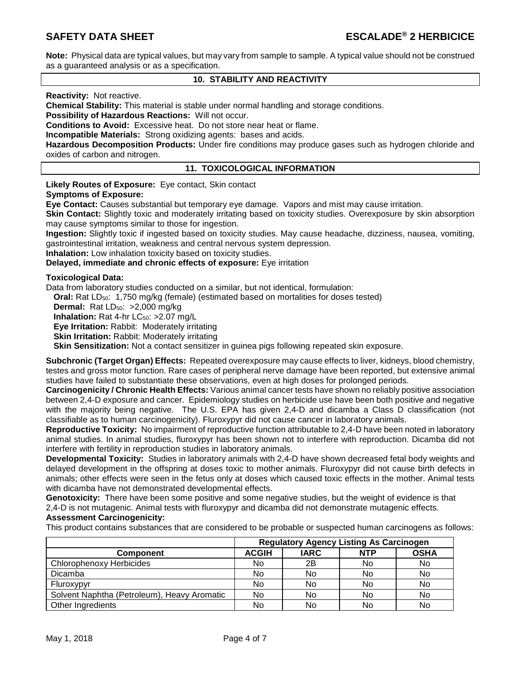**Note:** Physical data are typical values, but may vary from sample to sample. A typical value should not be construed as a guaranteed analysis or as a specification.

## **10. STABILITY AND REACTIVITY**

## **Reactivity:** Not reactive.

**Chemical Stability:** This material is stable under normal handling and storage conditions.

**Possibility of Hazardous Reactions:** Will not occur.

**Conditions to Avoid:** Excessive heat. Do not store near heat or flame.

**Incompatible Materials:** Strong oxidizing agents: bases and acids.

**Hazardous Decomposition Products:** Under fire conditions may produce gases such as hydrogen chloride and oxides of carbon and nitrogen.

## **11. TOXICOLOGICAL INFORMATION**

**Likely Routes of Exposure:** Eye contact, Skin contact **Symptoms of Exposure:** 

**Eye Contact:** Causes substantial but temporary eye damage. Vapors and mist may cause irritation.

**Skin Contact:** Slightly toxic and moderately irritating based on toxicity studies. Overexposure by skin absorption may cause symptoms similar to those for ingestion.

**Ingestion:** Slightly toxic if ingested based on toxicity studies. May cause headache, dizziness, nausea, vomiting, gastrointestinal irritation, weakness and central nervous system depression.

**Inhalation:** Low inhalation toxicity based on toxicity studies.

## **Delayed, immediate and chronic effects of exposure:** Eye irritation

## **Toxicological Data:**

Data from laboratory studies conducted on a similar, but not identical, formulation:

**Oral:** Rat LD<sub>50</sub>: 1,750 mg/kg (female) (estimated based on mortalities for doses tested)

**Dermal:** Rat LD<sub>50</sub>: >2,000 mg/kg

**Inhalation:** Rat 4-hr LC<sub>50</sub>: >2.07 mg/L

**Eye Irritation:** Rabbit: Moderately irritating

**Skin Irritation:** Rabbit: Moderately irritating

**Skin Sensitization:** Not a contact sensitizer in guinea pigs following repeated skin exposure.

**Subchronic (Target Organ) Effects:** Repeated overexposure may cause effects to liver, kidneys, blood chemistry, testes and gross motor function. Rare cases of peripheral nerve damage have been reported, but extensive animal studies have failed to substantiate these observations, even at high doses for prolonged periods.

**Carcinogenicity / Chronic Health Effects:** Various animal cancer tests have shown no reliably positive association between 2,4-D exposure and cancer. Epidemiology studies on herbicide use have been both positive and negative with the majority being negative. The U.S. EPA has given 2,4-D and dicamba a Class D classification (not classifiable as to human carcinogenicity). Fluroxypyr did not cause cancer in laboratory animals.

**Reproductive Toxicity:** No impairment of reproductive function attributable to 2,4-D have been noted in laboratory animal studies. In animal studies, fluroxypyr has been shown not to interfere with reproduction. Dicamba did not interfere with fertility in reproduction studies in laboratory animals.

**Developmental Toxicity:** Studies in laboratory animals with 2,4-D have shown decreased fetal body weights and delayed development in the offspring at doses toxic to mother animals. Fluroxypyr did not cause birth defects in animals; other effects were seen in the fetus only at doses which caused toxic effects in the mother. Animal tests with dicamba have not demonstrated developmental effects.

**Genotoxicity:** There have been some positive and some negative studies, but the weight of evidence is that 2,4-D is not mutagenic. Animal tests with fluroxypyr and dicamba did not demonstrate mutagenic effects. **Assessment Carcinogenicity:**

This product contains substances that are considered to be probable or suspected human carcinogens as follows:

|                                             | <b>Regulatory Agency Listing As Carcinogen</b> |             |            |             |
|---------------------------------------------|------------------------------------------------|-------------|------------|-------------|
| Component                                   | <b>ACGIH</b>                                   | <b>IARC</b> | <b>NTP</b> | <b>OSHA</b> |
| Chlorophenoxy Herbicides                    | No                                             | 2Β          | No         | No          |
| <b>Dicamba</b>                              | No                                             | No          | No         | No          |
| Fluroxypyr                                  | No                                             | No          | No         | No          |
| Solvent Naphtha (Petroleum), Heavy Aromatic | No                                             | No          | No         | No          |
| Other Ingredients                           | No                                             | No          | No         | No          |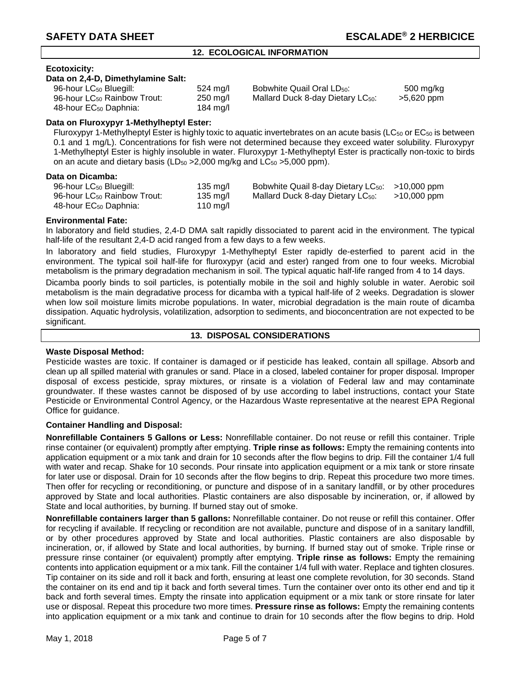## **12. ECOLOGICAL INFORMATION**

## **Ecotoxicity:**

#### **Data on 2,4-D, Dimethylamine Salt:**

| 96-hour LC <sub>50</sub> Bluegill:      | 524 mg/l   | Bobwhite Quail Oral LD <sub>50</sub> :        | 500 mg/kg  |
|-----------------------------------------|------------|-----------------------------------------------|------------|
| 96-hour LC <sub>50</sub> Rainbow Trout: | $250$ mg/l | Mallard Duck 8-day Dietary LC <sub>50</sub> : | >5,620 ppm |
| 48-hour EC <sub>50</sub> Daphnia:       | 184 mg/l   |                                               |            |

## **Data on Fluroxypyr 1-Methylheptyl Ester:**

Fluroxypyr 1-Methylheptyl Ester is highly toxic to aquatic invertebrates on an acute basis (LC $_{50}$  or EC $_{50}$  is between 0.1 and 1 mg/L). Concentrations for fish were not determined because they exceed water solubility. Fluroxypyr 1-Methylheptyl Ester is highly insoluble in water. Fluroxypyr 1-Methylheptyl Ester is practically non-toxic to birds on an acute and dietary basis (LD $_{50}$  > 2,000 mg/kg and LC $_{50}$  > 5,000 ppm).

## **Data on Dicamba:**

| ,                                       |          |                                                             |             |
|-----------------------------------------|----------|-------------------------------------------------------------|-------------|
| 96-hour LC <sub>50</sub> Bluegill:      | 135 mg/l | Bobwhite Quail 8-day Dietary LC <sub>50</sub> : >10,000 ppm |             |
| 96-hour LC <sub>50</sub> Rainbow Trout: | 135 mg/l | Mallard Duck 8-day Dietary LC <sub>50</sub> :               | >10,000 ppm |
| 48-hour EC <sub>50</sub> Daphnia:       | 110 mg/l |                                                             |             |

## **Environmental Fate:**

In laboratory and field studies, 2,4-D DMA salt rapidly dissociated to parent acid in the environment. The typical half-life of the resultant 2,4-D acid ranged from a few days to a few weeks.

In laboratory and field studies, Fluroxypyr 1-Methylheptyl Ester rapidly de-esterfied to parent acid in the environment. The typical soil half-life for fluroxypyr (acid and ester) ranged from one to four weeks. Microbial metabolism is the primary degradation mechanism in soil. The typical aquatic half-life ranged from 4 to 14 days.

Dicamba poorly binds to soil particles, is potentially mobile in the soil and highly soluble in water. Aerobic soil metabolism is the main degradative process for dicamba with a typical half-life of 2 weeks. Degradation is slower when low soil moisture limits microbe populations. In water, microbial degradation is the main route of dicamba dissipation. Aquatic hydrolysis, volatilization, adsorption to sediments, and bioconcentration are not expected to be significant.

## **13. DISPOSAL CONSIDERATIONS**

## **Waste Disposal Method:**

Pesticide wastes are toxic. If container is damaged or if pesticide has leaked, contain all spillage. Absorb and clean up all spilled material with granules or sand. Place in a closed, labeled container for proper disposal. Improper disposal of excess pesticide, spray mixtures, or rinsate is a violation of Federal law and may contaminate groundwater. If these wastes cannot be disposed of by use according to label instructions, contact your State Pesticide or Environmental Control Agency, or the Hazardous Waste representative at the nearest EPA Regional Office for guidance.

## **Container Handling and Disposal:**

**Nonrefillable Containers 5 Gallons or Less:** Nonrefillable container. Do not reuse or refill this container. Triple rinse container (or equivalent) promptly after emptying. **Triple rinse as follows:** Empty the remaining contents into application equipment or a mix tank and drain for 10 seconds after the flow begins to drip. Fill the container 1/4 full with water and recap. Shake for 10 seconds. Pour rinsate into application equipment or a mix tank or store rinsate for later use or disposal. Drain for 10 seconds after the flow begins to drip. Repeat this procedure two more times. Then offer for recycling or reconditioning, or puncture and dispose of in a sanitary landfill, or by other procedures approved by State and local authorities. Plastic containers are also disposable by incineration, or, if allowed by State and local authorities, by burning. If burned stay out of smoke.

**Nonrefillable containers larger than 5 gallons:** Nonrefillable container. Do not reuse or refill this container. Offer for recycling if available. If recycling or recondition are not available, puncture and dispose of in a sanitary landfill, or by other procedures approved by State and local authorities. Plastic containers are also disposable by incineration, or, if allowed by State and local authorities, by burning. If burned stay out of smoke. Triple rinse or pressure rinse container (or equivalent) promptly after emptying. **Triple rinse as follows:** Empty the remaining contents into application equipment or a mix tank. Fill the container 1/4 full with water. Replace and tighten closures. Tip container on its side and roll it back and forth, ensuring at least one complete revolution, for 30 seconds. Stand the container on its end and tip it back and forth several times. Turn the container over onto its other end and tip it back and forth several times. Empty the rinsate into application equipment or a mix tank or store rinsate for later use or disposal. Repeat this procedure two more times. **Pressure rinse as follows:** Empty the remaining contents into application equipment or a mix tank and continue to drain for 10 seconds after the flow begins to drip. Hold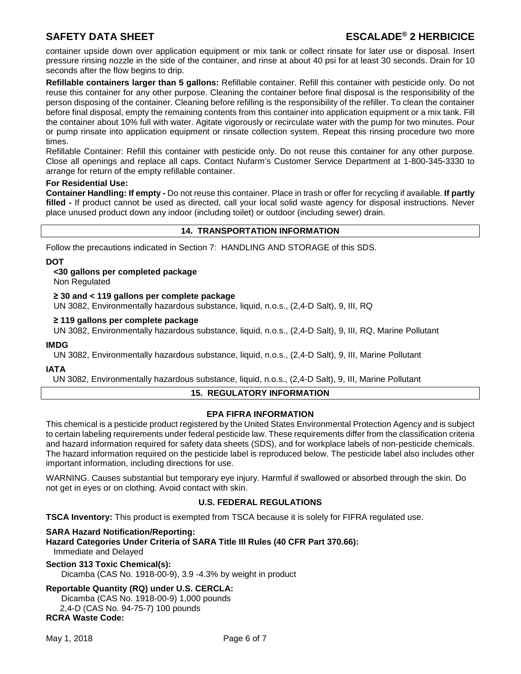# **SAFETY DATA SHEET ESCALADE® 2 HERBICICE**

container upside down over application equipment or mix tank or collect rinsate for later use or disposal. Insert pressure rinsing nozzle in the side of the container, and rinse at about 40 psi for at least 30 seconds. Drain for 10 seconds after the flow begins to drip.

**Refillable containers larger than 5 gallons:** Refillable container. Refill this container with pesticide only. Do not reuse this container for any other purpose. Cleaning the container before final disposal is the responsibility of the person disposing of the container. Cleaning before refilling is the responsibility of the refiller. To clean the container before final disposal, empty the remaining contents from this container into application equipment or a mix tank. Fill the container about 10% full with water. Agitate vigorously or recirculate water with the pump for two minutes. Pour or pump rinsate into application equipment or rinsate collection system. Repeat this rinsing procedure two more times.

Refillable Container: Refill this container with pesticide only. Do not reuse this container for any other purpose. Close all openings and replace all caps. Contact Nufarm's Customer Service Department at 1-800-345-3330 to arrange for return of the empty refillable container.

## **For Residential Use:**

**Container Handling: If empty -** Do not reuse this container. Place in trash or offer for recycling if available. **If partly filled -** If product cannot be used as directed, call your local solid waste agency for disposal instructions. Never place unused product down any indoor (including toilet) or outdoor (including sewer) drain.

## **14. TRANSPORTATION INFORMATION**

Follow the precautions indicated in Section 7: HANDLING AND STORAGE of this SDS.

## **DOT**

**<30 gallons per completed package** 

Non Regulated

## **≥ 30 and < 119 gallons per complete package**

UN 3082, Environmentally hazardous substance, liquid, n.o.s., (2,4-D Salt), 9, III, RQ

## **≥ 119 gallons per complete package**

UN 3082, Environmentally hazardous substance, liquid, n.o.s., (2,4-D Salt), 9, III, RQ, Marine Pollutant

#### **IMDG**

UN 3082, Environmentally hazardous substance, liquid, n.o.s., (2,4-D Salt), 9, III, Marine Pollutant

## **IATA**

UN 3082, Environmentally hazardous substance, liquid, n.o.s., (2,4-D Salt), 9, III, Marine Pollutant

## **15. REGULATORY INFORMATION**

## **EPA FIFRA INFORMATION**

This chemical is a pesticide product registered by the United States Environmental Protection Agency and is subject to certain labeling requirements under federal pesticide law. These requirements differ from the classification criteria and hazard information required for safety data sheets (SDS), and for workplace labels of non-pesticide chemicals. The hazard information required on the pesticide label is reproduced below. The pesticide label also includes other important information, including directions for use.

WARNING. Causes substantial but temporary eye injury. Harmful if swallowed or absorbed through the skin. Do not get in eyes or on clothing. Avoid contact with skin.

## **U.S. FEDERAL REGULATIONS**

**TSCA Inventory:** This product is exempted from TSCA because it is solely for FIFRA regulated use.

#### **SARA Hazard Notification/Reporting:**

**Hazard Categories Under Criteria of SARA Title III Rules (40 CFR Part 370.66):** Immediate and Delayed

#### **Section 313 Toxic Chemical(s):**

Dicamba (CAS No. 1918-00-9), 3.9 -4.3% by weight in product

# **Reportable Quantity (RQ) under U.S. CERCLA:**

Dicamba (CAS No. 1918-00-9) 1,000 pounds 2,4-D (CAS No. 94-75-7) 100 pounds **RCRA Waste Code:**